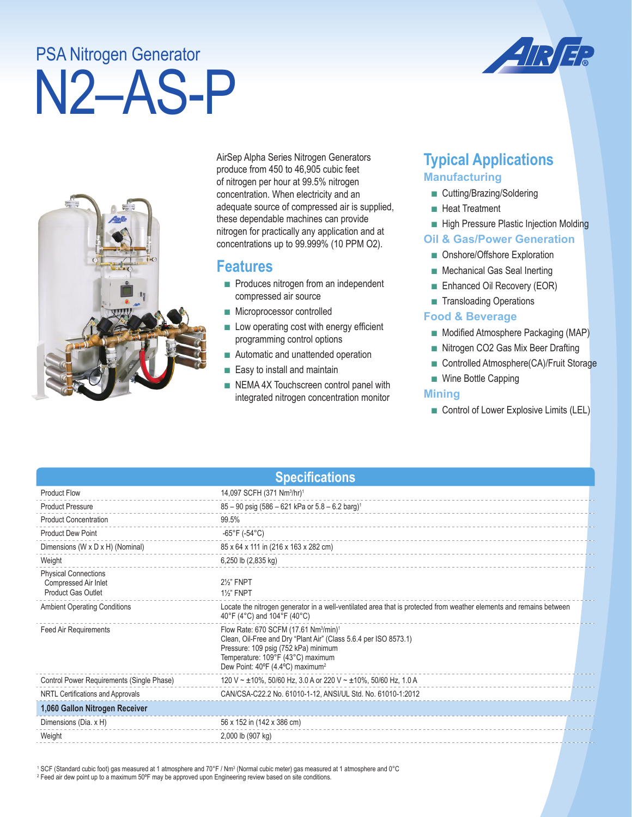# N2–AS-P PSA Nitrogen Generator





AirSep Alpha Series Nitrogen Generators produce from 450 to 46,905 cubic feet of nitrogen per hour at 99.5% nitrogen concentration. When electricity and an adequate source of compressed air is supplied, these dependable machines can provide nitrogen for practically any application and at concentrations up to 99.999% (10 PPM O2).

## **Features**

- Produces nitrogen from an independent compressed air source
- Microprocessor controlled
- Low operating cost with energy efficient programming control options
- Automatic and unattended operation
- Easy to install and maintain
- NEMA 4X Touchscreen control panel with integrated nitrogen concentration monitor

# **Typical Applications Manufacturing**

- Cutting/Brazing/Soldering
- Heat Treatment
- High Pressure Plastic Injection Molding

#### **Oil & Gas/Power Generation**

- Onshore/Offshore Exploration
- Mechanical Gas Seal Inerting
- Enhanced Oil Recovery (EOR)
- Transloading Operations

#### **Food & Beverage**

- Modified Atmosphere Packaging (MAP)
- Nitrogen CO2 Gas Mix Beer Drafting
- Controlled Atmosphere(CA)/Fruit Storage
- Wine Bottle Capping

#### **Mining**

■ Control of Lower Explosive Limits (LEL)

| <b>Specifications</b>                                                            |                                                                                                                                                                                                                                                                |  |  |  |
|----------------------------------------------------------------------------------|----------------------------------------------------------------------------------------------------------------------------------------------------------------------------------------------------------------------------------------------------------------|--|--|--|
| <b>Product Flow</b>                                                              | 14,097 SCFH (371 Nm <sup>3</sup> /hr) <sup>1</sup>                                                                                                                                                                                                             |  |  |  |
| <b>Product Pressure</b>                                                          | $85 - 90$ psig (586 - 621 kPa or $5.8 - 6.2$ barg) <sup>1</sup>                                                                                                                                                                                                |  |  |  |
| <b>Product Concentration</b>                                                     | 99.5%                                                                                                                                                                                                                                                          |  |  |  |
| <b>Product Dew Point</b>                                                         | -65°F (-54°C)                                                                                                                                                                                                                                                  |  |  |  |
| Dimensions (W x D x H) (Nominal)                                                 | 85 x 64 x 111 in (216 x 163 x 282 cm)                                                                                                                                                                                                                          |  |  |  |
| Weight                                                                           | 6,250 lb (2,835 kg)                                                                                                                                                                                                                                            |  |  |  |
| <b>Physical Connections</b><br>Compressed Air Inlet<br><b>Product Gas Outlet</b> | 2%" FNPT<br>11/ <sub>2</sub> " FNPT                                                                                                                                                                                                                            |  |  |  |
| <b>Ambient Operating Conditions</b>                                              | Locate the nitrogen generator in a well-ventilated area that is protected from weather elements and remains between<br>40°F (4°C) and 104°F (40°C)                                                                                                             |  |  |  |
| Feed Air Requirements                                                            | Flow Rate: 670 SCFM (17.61 Nm <sup>3</sup> /min) <sup>1</sup><br>Clean, Oil-Free and Dry "Plant Air" (Class 5.6.4 per ISO 8573.1)<br>Pressure: 109 psig (752 kPa) minimum<br>Temperature: 109°F (43°C) maximum<br>Dew Point: 40°F (4.4°C) maximum <sup>2</sup> |  |  |  |
| Control Power Requirements (Single Phase)                                        | 120 V ~ $\pm$ 10%, 50/60 Hz, 3.0 A or 220 V ~ $\pm$ 10%, 50/60 Hz, 1.0 A                                                                                                                                                                                       |  |  |  |
| NRTL Certifications and Approvals                                                | CAN/CSA-C22.2 No. 61010-1-12, ANSI/UL Std. No. 61010-1:2012                                                                                                                                                                                                    |  |  |  |
| 1,060 Gallon Nitrogen Receiver                                                   |                                                                                                                                                                                                                                                                |  |  |  |
| Dimensions (Dia. x H)                                                            | 56 x 152 in (142 x 386 cm)                                                                                                                                                                                                                                     |  |  |  |
| Weight                                                                           | 2,000 lb (907 kg)                                                                                                                                                                                                                                              |  |  |  |

 $^1$  SCF (Standard cubic foot) gas measured at 1 atmosphere and 70°F / Nm $^3$  (Normal cubic meter) gas measured at 1 atmosphere and 0°C 2 Feed air dew point up to a maximum 50ºF may be approved upon Engineering review based on site conditions.